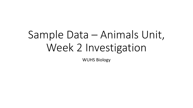# Sample Data – Animals Unit, Week 2 Investigation

WUHS Biology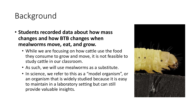# Background

- **Students recorded data about how mass changes and how BTB changes when mealworms move, eat, and grow.** 
	- While we are focusing on how cattle use the food they consume to grow and move, it is not feasible to study cattle in our classroom.
	- As such, we will use mealworms as a substitute.
	- In science, we refer to this as a "model organism", or an organism that is widely studied because it is easy to maintain in a laboratory setting but can still provide valuable insights.

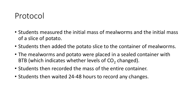### Protocol

- Students measured the initial mass of mealworms and the initial mass of a slice of potato.
- Students then added the potato slice to the container of mealworms.
- The mealworms and potato were placed in a sealed container with BTB (which indicates whether levels of  $CO<sub>2</sub>$  changed).
- Students then recorded the mass of the entire container.
- Students then waited 24-48 hours to record any changes.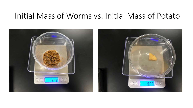#### Initial Mass of Worms vs. Initial Mass of Potato

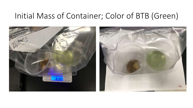#### Initial Mass of Container; Color of BTB (Green)

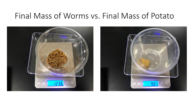#### Final Mass of Worms vs. Final Mass of Potato